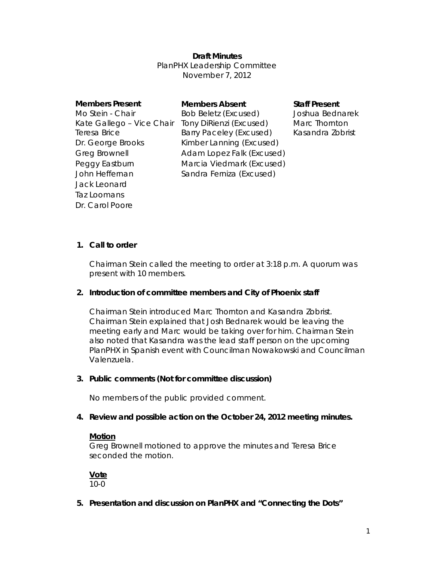## **Draft Minutes**

PlanPHX Leadership Committee November 7, 2012

| <b>Members Present</b>    | <b>Members Absent</b>          | <b>Staff Present</b> |
|---------------------------|--------------------------------|----------------------|
| Mo Stein - Chair          | <b>Bob Beletz (Excused)</b>    | Joshua Bednarek      |
| Kate Gallego - Vice Chair | Tony DiRienzi (Excused)        | Marc Thornton        |
| Teresa Brice              | <b>Barry Paceley (Excused)</b> | Kasandra Zobrist     |
| Dr. George Brooks         | Kimber Lanning (Excused)       |                      |
| <b>Greg Brownell</b>      | Adam Lopez Falk (Excused)      |                      |
| Peggy Eastburn            | Marcia Viedmark (Excused)      |                      |
| John Heffernan            | Sandra Ferniza (Excused)       |                      |
| Jack Leonard              |                                |                      |
| Taz Loomans               |                                |                      |

### **1. Call to order**

Dr. Carol Poore

Chairman Stein called the meeting to order at 3:18 p.m. A quorum was present with 10 members.

#### **2. Introduction of committee members and City of Phoenix staff**

Chairman Stein introduced Marc Thornton and Kasandra Zobrist. Chairman Stein explained that Josh Bednarek would be leaving the meeting early and Marc would be taking over for him. Chairman Stein also noted that Kasandra was the lead staff person on the upcoming PlanPHX in Spanish event with Councilman Nowakowski and Councilman Valenzuela.

#### **3. Public comments (Not for committee discussion)**

No members of the public provided comment.

#### **4. Review and possible action on the October 24, 2012 meeting minutes.**

#### **Motion**

Greg Brownell motioned to approve the minutes and Teresa Brice seconded the motion.

**Vote**  10-0

**5. Presentation and discussion on PlanPHX and "Connecting the Dots"**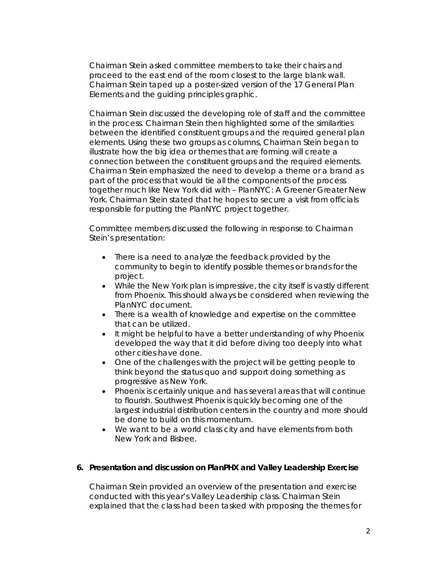Chairman Stein asked committee members to take their chairs and proceed to the east end of the room closest to the large blank wall. Chairman Stein taped up a poster-sized version of the 17 General Plan Elements and the guiding principles graphic.

Chairman Stein discussed the developing role of staff and the committee in the process. Chairman Stein then highlighted some of the similarities between the identified constituent groups and the required general plan elements. Using these two groups as columns, Chairman Stein began to illustrate how the big idea or themes that are forming will create a connection between the constituent groups and the required elements. Chairman Stein emphasized the need to develop a theme or a brand as part of the process that would tie all the components of the process together much like New York did with – PlanNYC: A Greener Greater New York. Chairman Stein stated that he hopes to secure a visit from officials responsible for putting the PlanNYC project together.

Committee members discussed the following in response to Chairman Stein's presentation:

- There is a need to analyze the feedback provided by the community to begin to identify possible themes or brands for the project.
- While the New York plan is impressive, the city itself is vastly different from Phoenix. This should always be considered when reviewing the PlanNYC document.
- There is a wealth of knowledge and expertise on the committee that can be utilized.
- It might be helpful to have a better understanding of why Phoenix developed the way that it did before diving too deeply into what other cities have done.
- One of the challenges with the project will be getting people to think beyond the status quo and support doing something as progressive as New York.
- Phoenix is certainly unique and has several areas that will continue to flourish. Southwest Phoenix is quickly becoming one of the largest industrial distribution centers in the country and more should be done to build on this momentum.
- We want to be a world class city and have elements from both New York and Bisbee.

## **6. Presentation and discussion on PlanPHX and Valley Leadership Exercise**

Chairman Stein provided an overview of the presentation and exercise conducted with this year's Valley Leadership class. Chairman Stein explained that the class had been tasked with proposing the themes for